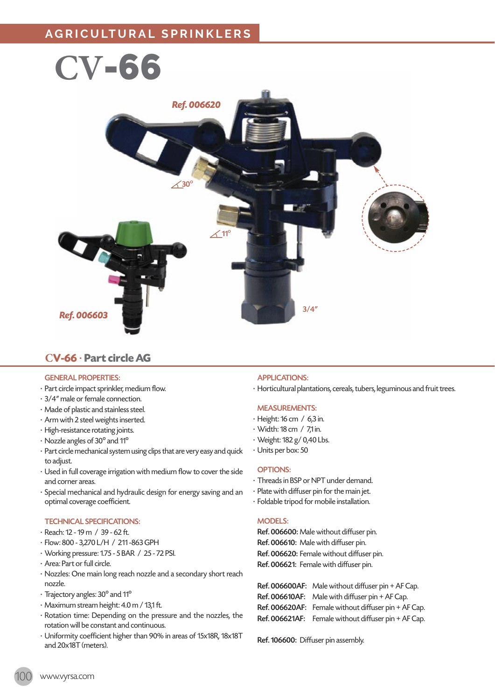

## **CV-66** · **Part circle AG**

#### GENERAL PROPERTIES:

- · Part circle impact sprinkler, medium flow.
- · 3/4" male or female connection.
- · Made of plastic and stainless steel.
- · Arm with 2 steel weights inserted.
- · High-resistance rotating joints.
- · Nozzle angles of 30º and 11º
- · Part circle mechanical system using clips that are very easy and quick to adjust.
- · Used in full coverage irrigation with medium flow to cover the side and corner areas.
- · Special mechanical and hydraulic design for energy saving and an optimal coverage coefficient.

#### TECHNICAL SPECIFICATIONS:

- · Reach: 12 19 m / 39 62 ft.
- · Flow: 800 3,270 L/H / 211 -863 GPH
- · Working pressure: 1.75 5 BAR / 25 72 PSI.
- · Area: Part or full circle.
- · Nozzles: One main long reach nozzle and a secondary short reach nozzle.
- · Trajectory angles: 30º and 11º
- · Maximum stream height: 4.0 m / 13,1 ft.
- · Rotation time: Depending on the pressure and the nozzles, the rotation will be constant and continuous.
- · Uniformity coefficient higher than 90% in areas of 15x18R, 18x18T and 20x18T (meters).

#### APPLICATIONS:

· Horticultural plantations, cereals, tubers, leguminous and fruit trees.

#### MEASUREMENTS:

- · Height: 16 cm / 6,3 in.
- · Width: 18 cm / 7,1 in.
- · Weight: 182 g/ 0,40 Lbs.
- · Units per box: 50

#### OPTIONS:

- · Threads in BSP or NPT under demand.
- · Plate with diffuser pin for the main jet.
- · Foldable tripod for mobile installation.

#### MODELS:

Ref. 006600: Male without diffuser pin. Ref. 006610: Male with diffuser pin. Ref. 006620: Female without diffuser pin. Ref. 006621: Female with diffuser pin.

Ref. 006600AF: Male without diffuser pin + AF Cap. Ref. 006610AF: Male with diffuser pin + AF Cap. Ref. 006620AF: Female without diffuser pin + AF Cap. Ref. 006621AF: Female without diffuser pin + AF Cap.

Ref. 106600: Diffuser pin assembly.